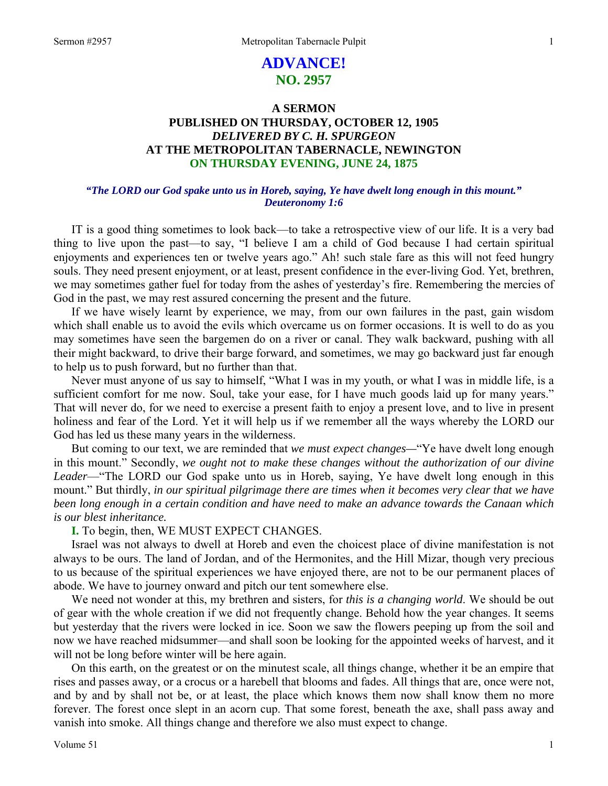# **ADVANCE! NO. 2957**

## **A SERMON PUBLISHED ON THURSDAY, OCTOBER 12, 1905**  *DELIVERED BY C. H. SPURGEON*  **AT THE METROPOLITAN TABERNACLE, NEWINGTON ON THURSDAY EVENING, JUNE 24, 1875**

### *"The LORD our God spake unto us in Horeb, saying, Ye have dwelt long enough in this mount." Deuteronomy 1:6*

IT is a good thing sometimes to look back—to take a retrospective view of our life. It is a very bad thing to live upon the past—to say, "I believe I am a child of God because I had certain spiritual enjoyments and experiences ten or twelve years ago." Ah! such stale fare as this will not feed hungry souls. They need present enjoyment, or at least, present confidence in the ever-living God. Yet, brethren, we may sometimes gather fuel for today from the ashes of yesterday's fire. Remembering the mercies of God in the past, we may rest assured concerning the present and the future.

 If we have wisely learnt by experience, we may, from our own failures in the past, gain wisdom which shall enable us to avoid the evils which overcame us on former occasions. It is well to do as you may sometimes have seen the bargemen do on a river or canal. They walk backward, pushing with all their might backward, to drive their barge forward, and sometimes, we may go backward just far enough to help us to push forward, but no further than that.

 Never must anyone of us say to himself, "What I was in my youth, or what I was in middle life, is a sufficient comfort for me now. Soul, take your ease, for I have much goods laid up for many years." That will never do, for we need to exercise a present faith to enjoy a present love, and to live in present holiness and fear of the Lord. Yet it will help us if we remember all the ways whereby the LORD our God has led us these many years in the wilderness.

 But coming to our text, we are reminded that *we must expect changes—*"Ye have dwelt long enough in this mount." Secondly, *we ought not to make these changes without the authorization of our divine Leader*—"The LORD our God spake unto us in Horeb, saying, Ye have dwelt long enough in this mount." But thirdly, *in our spiritual pilgrimage there are times when it becomes very clear that we have been long enough in a certain condition and have need to make an advance towards the Canaan which is our blest inheritance.* 

### **I.** To begin, then, WE MUST EXPECT CHANGES.

 Israel was not always to dwell at Horeb and even the choicest place of divine manifestation is not always to be ours. The land of Jordan, and of the Hermonites, and the Hill Mizar, though very precious to us because of the spiritual experiences we have enjoyed there, are not to be our permanent places of abode. We have to journey onward and pitch our tent somewhere else.

 We need not wonder at this, my brethren and sisters, for *this is a changing world*. We should be out of gear with the whole creation if we did not frequently change. Behold how the year changes. It seems but yesterday that the rivers were locked in ice. Soon we saw the flowers peeping up from the soil and now we have reached midsummer—and shall soon be looking for the appointed weeks of harvest, and it will not be long before winter will be here again.

 On this earth, on the greatest or on the minutest scale, all things change, whether it be an empire that rises and passes away, or a crocus or a harebell that blooms and fades. All things that are, once were not, and by and by shall not be, or at least, the place which knows them now shall know them no more forever. The forest once slept in an acorn cup. That some forest, beneath the axe, shall pass away and vanish into smoke. All things change and therefore we also must expect to change.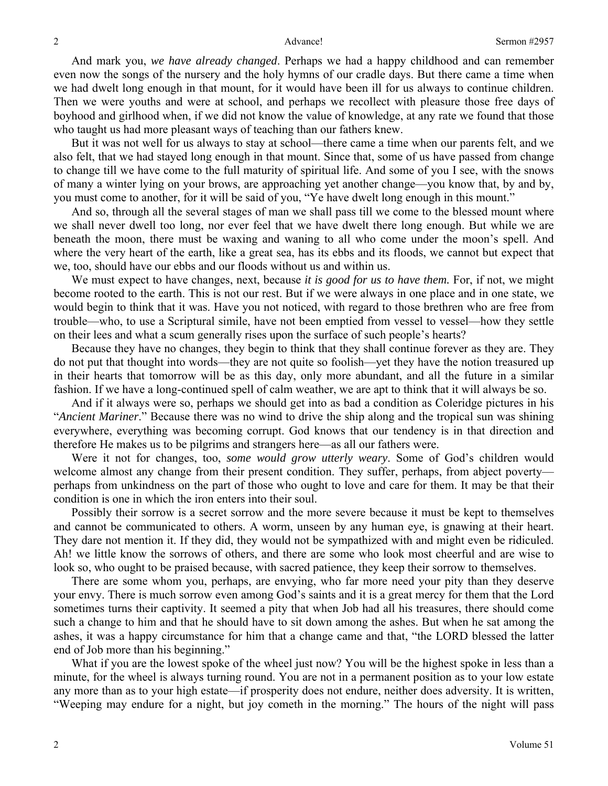And mark you, *we have already changed*. Perhaps we had a happy childhood and can remember even now the songs of the nursery and the holy hymns of our cradle days. But there came a time when we had dwelt long enough in that mount, for it would have been ill for us always to continue children. Then we were youths and were at school, and perhaps we recollect with pleasure those free days of boyhood and girlhood when, if we did not know the value of knowledge, at any rate we found that those who taught us had more pleasant ways of teaching than our fathers knew.

 But it was not well for us always to stay at school—there came a time when our parents felt, and we also felt, that we had stayed long enough in that mount. Since that, some of us have passed from change to change till we have come to the full maturity of spiritual life. And some of you I see, with the snows of many a winter lying on your brows, are approaching yet another change—you know that, by and by, you must come to another, for it will be said of you, "Ye have dwelt long enough in this mount."

 And so, through all the several stages of man we shall pass till we come to the blessed mount where we shall never dwell too long, nor ever feel that we have dwelt there long enough. But while we are beneath the moon, there must be waxing and waning to all who come under the moon's spell. And where the very heart of the earth, like a great sea, has its ebbs and its floods, we cannot but expect that we, too, should have our ebbs and our floods without us and within us.

We must expect to have changes, next, because *it is good for us to have them*. For, if not, we might become rooted to the earth. This is not our rest. But if we were always in one place and in one state, we would begin to think that it was. Have you not noticed, with regard to those brethren who are free from trouble—who, to use a Scriptural simile, have not been emptied from vessel to vessel—how they settle on their lees and what a scum generally rises upon the surface of such people's hearts?

 Because they have no changes, they begin to think that they shall continue forever as they are. They do not put that thought into words—they are not quite so foolish—yet they have the notion treasured up in their hearts that tomorrow will be as this day, only more abundant, and all the future in a similar fashion. If we have a long-continued spell of calm weather, we are apt to think that it will always be so.

 And if it always were so, perhaps we should get into as bad a condition as Coleridge pictures in his "*Ancient Mariner*." Because there was no wind to drive the ship along and the tropical sun was shining everywhere, everything was becoming corrupt. God knows that our tendency is in that direction and therefore He makes us to be pilgrims and strangers here—as all our fathers were.

 Were it not for changes, too, *some would grow utterly weary*. Some of God's children would welcome almost any change from their present condition. They suffer, perhaps, from abject poverty perhaps from unkindness on the part of those who ought to love and care for them. It may be that their condition is one in which the iron enters into their soul.

 Possibly their sorrow is a secret sorrow and the more severe because it must be kept to themselves and cannot be communicated to others. A worm, unseen by any human eye, is gnawing at their heart. They dare not mention it. If they did, they would not be sympathized with and might even be ridiculed. Ah! we little know the sorrows of others, and there are some who look most cheerful and are wise to look so, who ought to be praised because, with sacred patience, they keep their sorrow to themselves.

 There are some whom you, perhaps, are envying, who far more need your pity than they deserve your envy. There is much sorrow even among God's saints and it is a great mercy for them that the Lord sometimes turns their captivity. It seemed a pity that when Job had all his treasures, there should come such a change to him and that he should have to sit down among the ashes. But when he sat among the ashes, it was a happy circumstance for him that a change came and that, "the LORD blessed the latter end of Job more than his beginning."

What if you are the lowest spoke of the wheel just now? You will be the highest spoke in less than a minute, for the wheel is always turning round. You are not in a permanent position as to your low estate any more than as to your high estate—if prosperity does not endure, neither does adversity. It is written, "Weeping may endure for a night, but joy cometh in the morning." The hours of the night will pass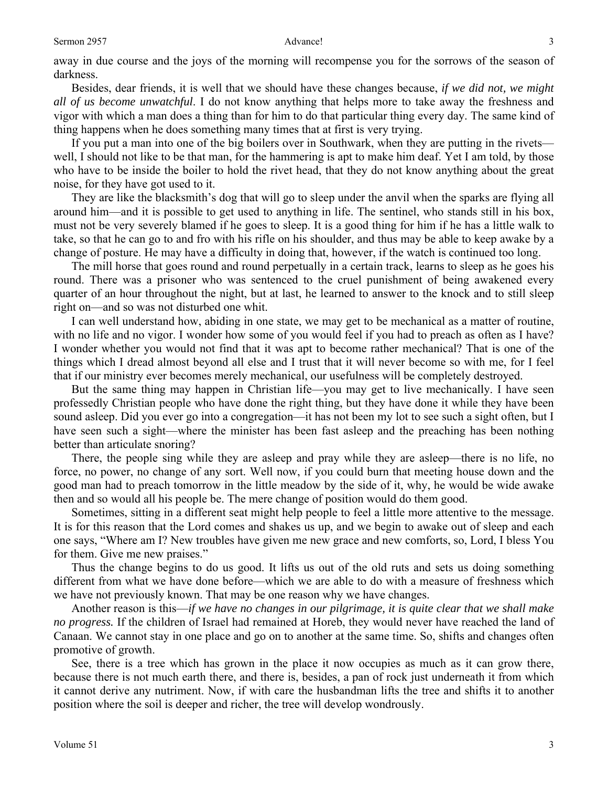away in due course and the joys of the morning will recompense you for the sorrows of the season of darkness.

 Besides, dear friends, it is well that we should have these changes because, *if we did not, we might all of us become unwatchful*. I do not know anything that helps more to take away the freshness and vigor with which a man does a thing than for him to do that particular thing every day. The same kind of thing happens when he does something many times that at first is very trying.

 If you put a man into one of the big boilers over in Southwark, when they are putting in the rivets well, I should not like to be that man, for the hammering is apt to make him deaf. Yet I am told, by those who have to be inside the boiler to hold the rivet head, that they do not know anything about the great noise, for they have got used to it.

 They are like the blacksmith's dog that will go to sleep under the anvil when the sparks are flying all around him—and it is possible to get used to anything in life. The sentinel, who stands still in his box, must not be very severely blamed if he goes to sleep. It is a good thing for him if he has a little walk to take, so that he can go to and fro with his rifle on his shoulder, and thus may be able to keep awake by a change of posture. He may have a difficulty in doing that, however, if the watch is continued too long.

 The mill horse that goes round and round perpetually in a certain track, learns to sleep as he goes his round. There was a prisoner who was sentenced to the cruel punishment of being awakened every quarter of an hour throughout the night, but at last, he learned to answer to the knock and to still sleep right on—and so was not disturbed one whit.

 I can well understand how, abiding in one state, we may get to be mechanical as a matter of routine, with no life and no vigor. I wonder how some of you would feel if you had to preach as often as I have? I wonder whether you would not find that it was apt to become rather mechanical? That is one of the things which I dread almost beyond all else and I trust that it will never become so with me, for I feel that if our ministry ever becomes merely mechanical, our usefulness will be completely destroyed.

 But the same thing may happen in Christian life—you may get to live mechanically. I have seen professedly Christian people who have done the right thing, but they have done it while they have been sound asleep. Did you ever go into a congregation—it has not been my lot to see such a sight often, but I have seen such a sight—where the minister has been fast asleep and the preaching has been nothing better than articulate snoring?

 There, the people sing while they are asleep and pray while they are asleep—there is no life, no force, no power, no change of any sort. Well now, if you could burn that meeting house down and the good man had to preach tomorrow in the little meadow by the side of it, why, he would be wide awake then and so would all his people be. The mere change of position would do them good.

 Sometimes, sitting in a different seat might help people to feel a little more attentive to the message. It is for this reason that the Lord comes and shakes us up, and we begin to awake out of sleep and each one says, "Where am I? New troubles have given me new grace and new comforts, so, Lord, I bless You for them. Give me new praises."

 Thus the change begins to do us good. It lifts us out of the old ruts and sets us doing something different from what we have done before—which we are able to do with a measure of freshness which we have not previously known. That may be one reason why we have changes.

 Another reason is this—*if we have no changes in our pilgrimage, it is quite clear that we shall make no progress.* If the children of Israel had remained at Horeb, they would never have reached the land of Canaan. We cannot stay in one place and go on to another at the same time. So, shifts and changes often promotive of growth.

 See, there is a tree which has grown in the place it now occupies as much as it can grow there, because there is not much earth there, and there is, besides, a pan of rock just underneath it from which it cannot derive any nutriment. Now, if with care the husbandman lifts the tree and shifts it to another position where the soil is deeper and richer, the tree will develop wondrously.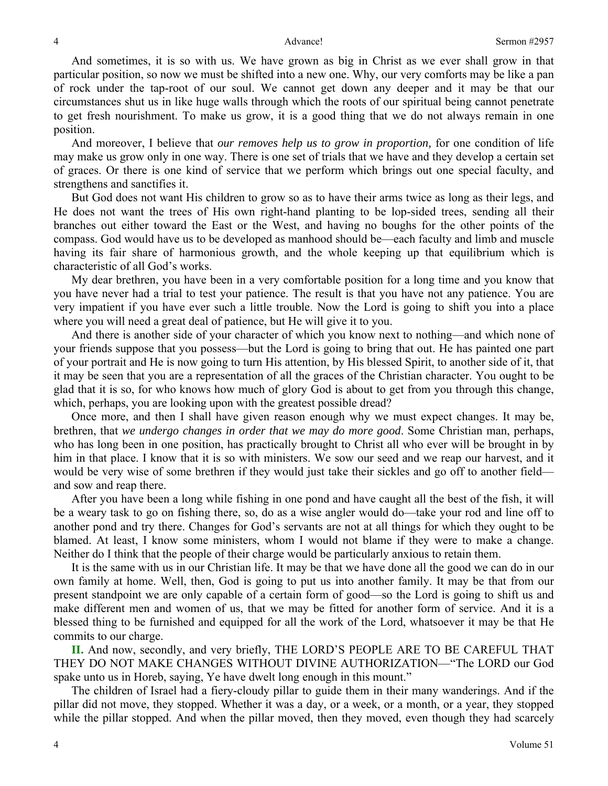And sometimes, it is so with us. We have grown as big in Christ as we ever shall grow in that particular position, so now we must be shifted into a new one. Why, our very comforts may be like a pan of rock under the tap-root of our soul. We cannot get down any deeper and it may be that our circumstances shut us in like huge walls through which the roots of our spiritual being cannot penetrate to get fresh nourishment. To make us grow, it is a good thing that we do not always remain in one position.

 And moreover, I believe that *our removes help us to grow in proportion,* for one condition of life may make us grow only in one way. There is one set of trials that we have and they develop a certain set of graces. Or there is one kind of service that we perform which brings out one special faculty, and strengthens and sanctifies it.

 But God does not want His children to grow so as to have their arms twice as long as their legs, and He does not want the trees of His own right-hand planting to be lop-sided trees, sending all their branches out either toward the East or the West, and having no boughs for the other points of the compass. God would have us to be developed as manhood should be—each faculty and limb and muscle having its fair share of harmonious growth, and the whole keeping up that equilibrium which is characteristic of all God's works.

 My dear brethren, you have been in a very comfortable position for a long time and you know that you have never had a trial to test your patience. The result is that you have not any patience. You are very impatient if you have ever such a little trouble. Now the Lord is going to shift you into a place where you will need a great deal of patience, but He will give it to you.

 And there is another side of your character of which you know next to nothing—and which none of your friends suppose that you possess—but the Lord is going to bring that out. He has painted one part of your portrait and He is now going to turn His attention, by His blessed Spirit, to another side of it, that it may be seen that you are a representation of all the graces of the Christian character. You ought to be glad that it is so, for who knows how much of glory God is about to get from you through this change, which, perhaps, you are looking upon with the greatest possible dread?

 Once more, and then I shall have given reason enough why we must expect changes. It may be, brethren, that *we undergo changes in order that we may do more good*. Some Christian man, perhaps, who has long been in one position, has practically brought to Christ all who ever will be brought in by him in that place. I know that it is so with ministers. We sow our seed and we reap our harvest, and it would be very wise of some brethren if they would just take their sickles and go off to another field and sow and reap there.

 After you have been a long while fishing in one pond and have caught all the best of the fish, it will be a weary task to go on fishing there, so, do as a wise angler would do—take your rod and line off to another pond and try there. Changes for God's servants are not at all things for which they ought to be blamed. At least, I know some ministers, whom I would not blame if they were to make a change. Neither do I think that the people of their charge would be particularly anxious to retain them.

 It is the same with us in our Christian life. It may be that we have done all the good we can do in our own family at home. Well, then, God is going to put us into another family. It may be that from our present standpoint we are only capable of a certain form of good—so the Lord is going to shift us and make different men and women of us, that we may be fitted for another form of service. And it is a blessed thing to be furnished and equipped for all the work of the Lord, whatsoever it may be that He commits to our charge.

 **II.** And now, secondly, and very briefly, THE LORD'S PEOPLE ARE TO BE CAREFUL THAT THEY DO NOT MAKE CHANGES WITHOUT DIVINE AUTHORIZATION—"The LORD our God spake unto us in Horeb, saying, Ye have dwelt long enough in this mount."

 The children of Israel had a fiery-cloudy pillar to guide them in their many wanderings. And if the pillar did not move, they stopped. Whether it was a day, or a week, or a month, or a year, they stopped while the pillar stopped. And when the pillar moved, then they moved, even though they had scarcely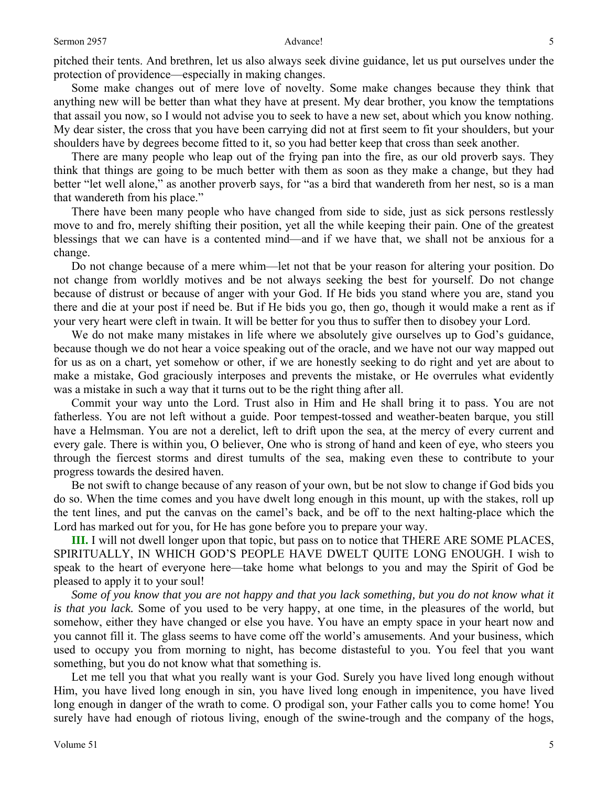pitched their tents. And brethren, let us also always seek divine guidance, let us put ourselves under the protection of providence—especially in making changes.

 Some make changes out of mere love of novelty. Some make changes because they think that anything new will be better than what they have at present. My dear brother, you know the temptations that assail you now, so I would not advise you to seek to have a new set, about which you know nothing. My dear sister, the cross that you have been carrying did not at first seem to fit your shoulders, but your shoulders have by degrees become fitted to it, so you had better keep that cross than seek another.

 There are many people who leap out of the frying pan into the fire, as our old proverb says. They think that things are going to be much better with them as soon as they make a change, but they had better "let well alone," as another proverb says, for "as a bird that wandereth from her nest, so is a man that wandereth from his place."

 There have been many people who have changed from side to side, just as sick persons restlessly move to and fro, merely shifting their position, yet all the while keeping their pain. One of the greatest blessings that we can have is a contented mind—and if we have that, we shall not be anxious for a change.

 Do not change because of a mere whim—let not that be your reason for altering your position. Do not change from worldly motives and be not always seeking the best for yourself. Do not change because of distrust or because of anger with your God. If He bids you stand where you are, stand you there and die at your post if need be. But if He bids you go, then go, though it would make a rent as if your very heart were cleft in twain. It will be better for you thus to suffer then to disobey your Lord.

 We do not make many mistakes in life where we absolutely give ourselves up to God's guidance, because though we do not hear a voice speaking out of the oracle, and we have not our way mapped out for us as on a chart, yet somehow or other, if we are honestly seeking to do right and yet are about to make a mistake, God graciously interposes and prevents the mistake, or He overrules what evidently was a mistake in such a way that it turns out to be the right thing after all.

 Commit your way unto the Lord. Trust also in Him and He shall bring it to pass. You are not fatherless. You are not left without a guide. Poor tempest-tossed and weather-beaten barque, you still have a Helmsman. You are not a derelict, left to drift upon the sea, at the mercy of every current and every gale. There is within you, O believer, One who is strong of hand and keen of eye, who steers you through the fiercest storms and direst tumults of the sea, making even these to contribute to your progress towards the desired haven.

 Be not swift to change because of any reason of your own, but be not slow to change if God bids you do so. When the time comes and you have dwelt long enough in this mount, up with the stakes, roll up the tent lines, and put the canvas on the camel's back, and be off to the next halting-place which the Lord has marked out for you, for He has gone before you to prepare your way.

**III.** I will not dwell longer upon that topic, but pass on to notice that THERE ARE SOME PLACES, SPIRITUALLY, IN WHICH GOD'S PEOPLE HAVE DWELT QUITE LONG ENOUGH. I wish to speak to the heart of everyone here—take home what belongs to you and may the Spirit of God be pleased to apply it to your soul!

*Some of you know that you are not happy and that you lack something, but you do not know what it is that you lack.* Some of you used to be very happy, at one time, in the pleasures of the world, but somehow, either they have changed or else you have. You have an empty space in your heart now and you cannot fill it. The glass seems to have come off the world's amusements. And your business, which used to occupy you from morning to night, has become distasteful to you. You feel that you want something, but you do not know what that something is.

 Let me tell you that what you really want is your God. Surely you have lived long enough without Him, you have lived long enough in sin, you have lived long enough in impenitence, you have lived long enough in danger of the wrath to come. O prodigal son, your Father calls you to come home! You surely have had enough of riotous living, enough of the swine-trough and the company of the hogs,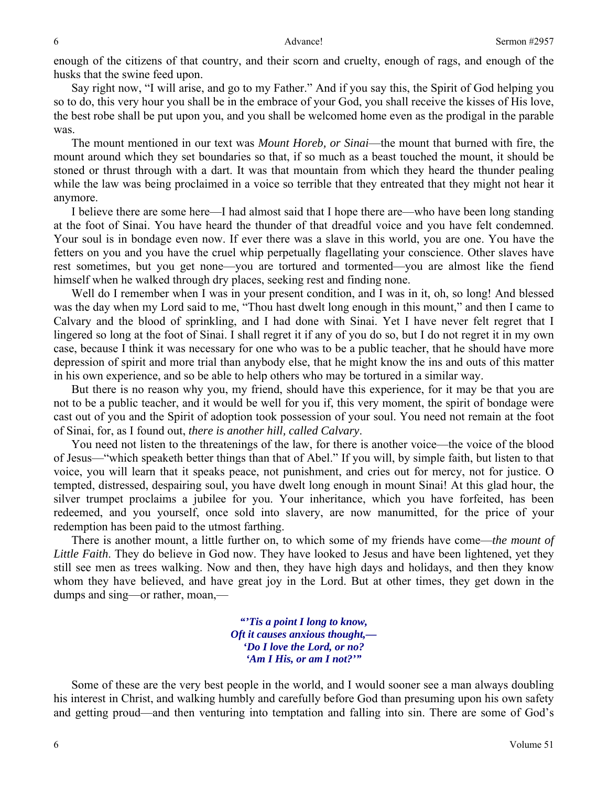enough of the citizens of that country, and their scorn and cruelty, enough of rags, and enough of the husks that the swine feed upon.

 Say right now, "I will arise, and go to my Father." And if you say this, the Spirit of God helping you so to do, this very hour you shall be in the embrace of your God, you shall receive the kisses of His love, the best robe shall be put upon you, and you shall be welcomed home even as the prodigal in the parable was.

 The mount mentioned in our text was *Mount Horeb, or Sinai*—the mount that burned with fire, the mount around which they set boundaries so that, if so much as a beast touched the mount, it should be stoned or thrust through with a dart. It was that mountain from which they heard the thunder pealing while the law was being proclaimed in a voice so terrible that they entreated that they might not hear it anymore.

 I believe there are some here—I had almost said that I hope there are—who have been long standing at the foot of Sinai. You have heard the thunder of that dreadful voice and you have felt condemned. Your soul is in bondage even now. If ever there was a slave in this world, you are one. You have the fetters on you and you have the cruel whip perpetually flagellating your conscience. Other slaves have rest sometimes, but you get none—you are tortured and tormented—you are almost like the fiend himself when he walked through dry places, seeking rest and finding none.

 Well do I remember when I was in your present condition, and I was in it, oh, so long! And blessed was the day when my Lord said to me, "Thou hast dwelt long enough in this mount," and then I came to Calvary and the blood of sprinkling, and I had done with Sinai. Yet I have never felt regret that I lingered so long at the foot of Sinai. I shall regret it if any of you do so, but I do not regret it in my own case, because I think it was necessary for one who was to be a public teacher, that he should have more depression of spirit and more trial than anybody else, that he might know the ins and outs of this matter in his own experience, and so be able to help others who may be tortured in a similar way.

 But there is no reason why you, my friend, should have this experience, for it may be that you are not to be a public teacher, and it would be well for you if, this very moment, the spirit of bondage were cast out of you and the Spirit of adoption took possession of your soul. You need not remain at the foot of Sinai, for, as I found out, *there is another hill, called Calvary*.

 You need not listen to the threatenings of the law, for there is another voice—the voice of the blood of Jesus—"which speaketh better things than that of Abel." If you will, by simple faith, but listen to that voice, you will learn that it speaks peace, not punishment, and cries out for mercy, not for justice. O tempted, distressed, despairing soul, you have dwelt long enough in mount Sinai! At this glad hour, the silver trumpet proclaims a jubilee for you. Your inheritance, which you have forfeited, has been redeemed, and you yourself, once sold into slavery, are now manumitted, for the price of your redemption has been paid to the utmost farthing.

 There is another mount, a little further on, to which some of my friends have come—*the mount of Little Faith*. They do believe in God now. They have looked to Jesus and have been lightened, yet they still see men as trees walking. Now and then, they have high days and holidays, and then they know whom they have believed, and have great joy in the Lord. But at other times, they get down in the dumps and sing—or rather, moan,—

> *"'Tis a point I long to know, Oft it causes anxious thought,— 'Do I love the Lord, or no? 'Am I His, or am I not?'"*

 Some of these are the very best people in the world, and I would sooner see a man always doubling his interest in Christ, and walking humbly and carefully before God than presuming upon his own safety and getting proud—and then venturing into temptation and falling into sin. There are some of God's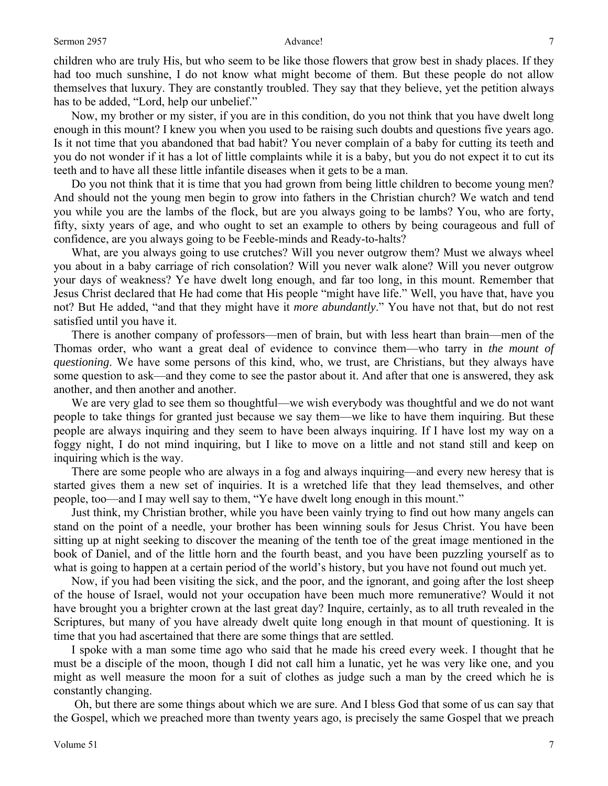### Sermon 2957 **Advance!** 2008 **Advance!** 2008 **Advance!**

children who are truly His, but who seem to be like those flowers that grow best in shady places. If they had too much sunshine, I do not know what might become of them. But these people do not allow themselves that luxury. They are constantly troubled. They say that they believe, yet the petition always has to be added, "Lord, help our unbelief."

 Now, my brother or my sister, if you are in this condition, do you not think that you have dwelt long enough in this mount? I knew you when you used to be raising such doubts and questions five years ago. Is it not time that you abandoned that bad habit? You never complain of a baby for cutting its teeth and you do not wonder if it has a lot of little complaints while it is a baby, but you do not expect it to cut its teeth and to have all these little infantile diseases when it gets to be a man.

 Do you not think that it is time that you had grown from being little children to become young men? And should not the young men begin to grow into fathers in the Christian church? We watch and tend you while you are the lambs of the flock, but are you always going to be lambs? You, who are forty, fifty, sixty years of age, and who ought to set an example to others by being courageous and full of confidence, are you always going to be Feeble-minds and Ready-to-halts?

What, are you always going to use crutches? Will you never outgrow them? Must we always wheel you about in a baby carriage of rich consolation? Will you never walk alone? Will you never outgrow your days of weakness? Ye have dwelt long enough, and far too long, in this mount. Remember that Jesus Christ declared that He had come that His people "might have life." Well, you have that, have you not? But He added, "and that they might have it *more abundantly*." You have not that, but do not rest satisfied until you have it.

 There is another company of professors—men of brain, but with less heart than brain—men of the Thomas order, who want a great deal of evidence to convince them—who tarry in *the mount of questioning*. We have some persons of this kind, who, we trust, are Christians, but they always have some question to ask—and they come to see the pastor about it. And after that one is answered, they ask another, and then another and another.

We are very glad to see them so thoughtful—we wish everybody was thoughtful and we do not want people to take things for granted just because we say them—we like to have them inquiring. But these people are always inquiring and they seem to have been always inquiring. If I have lost my way on a foggy night, I do not mind inquiring, but I like to move on a little and not stand still and keep on inquiring which is the way.

 There are some people who are always in a fog and always inquiring—and every new heresy that is started gives them a new set of inquiries. It is a wretched life that they lead themselves, and other people, too—and I may well say to them, "Ye have dwelt long enough in this mount."

 Just think, my Christian brother, while you have been vainly trying to find out how many angels can stand on the point of a needle, your brother has been winning souls for Jesus Christ. You have been sitting up at night seeking to discover the meaning of the tenth toe of the great image mentioned in the book of Daniel, and of the little horn and the fourth beast, and you have been puzzling yourself as to what is going to happen at a certain period of the world's history, but you have not found out much yet.

 Now, if you had been visiting the sick, and the poor, and the ignorant, and going after the lost sheep of the house of Israel, would not your occupation have been much more remunerative? Would it not have brought you a brighter crown at the last great day? Inquire, certainly, as to all truth revealed in the Scriptures, but many of you have already dwelt quite long enough in that mount of questioning. It is time that you had ascertained that there are some things that are settled.

 I spoke with a man some time ago who said that he made his creed every week. I thought that he must be a disciple of the moon, though I did not call him a lunatic, yet he was very like one, and you might as well measure the moon for a suit of clothes as judge such a man by the creed which he is constantly changing.

 Oh, but there are some things about which we are sure. And I bless God that some of us can say that the Gospel, which we preached more than twenty years ago, is precisely the same Gospel that we preach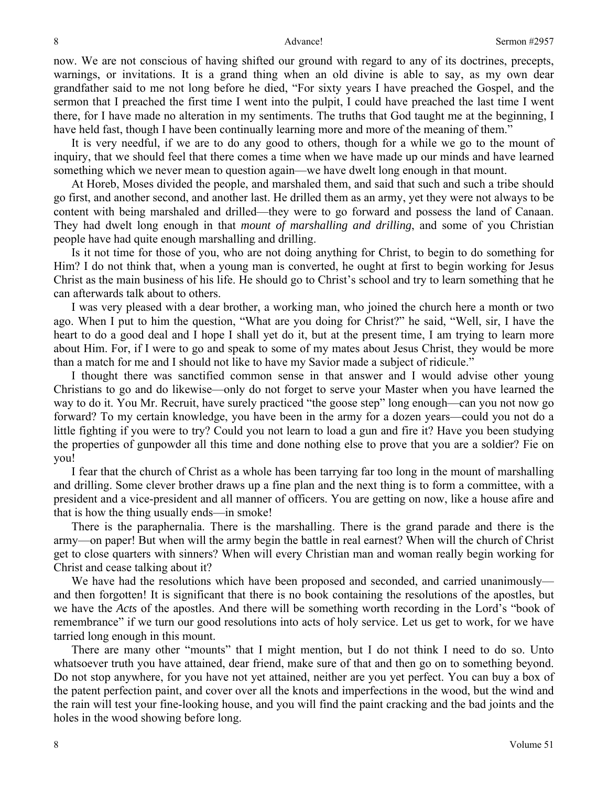now. We are not conscious of having shifted our ground with regard to any of its doctrines, precepts, warnings, or invitations. It is a grand thing when an old divine is able to say, as my own dear grandfather said to me not long before he died, "For sixty years I have preached the Gospel, and the sermon that I preached the first time I went into the pulpit, I could have preached the last time I went there, for I have made no alteration in my sentiments. The truths that God taught me at the beginning, I have held fast, though I have been continually learning more and more of the meaning of them."

 It is very needful, if we are to do any good to others, though for a while we go to the mount of inquiry, that we should feel that there comes a time when we have made up our minds and have learned something which we never mean to question again—we have dwelt long enough in that mount.

 At Horeb, Moses divided the people, and marshaled them, and said that such and such a tribe should go first, and another second, and another last. He drilled them as an army, yet they were not always to be content with being marshaled and drilled—they were to go forward and possess the land of Canaan. They had dwelt long enough in that *mount of marshalling and drilling*, and some of you Christian people have had quite enough marshalling and drilling.

 Is it not time for those of you, who are not doing anything for Christ, to begin to do something for Him? I do not think that, when a young man is converted, he ought at first to begin working for Jesus Christ as the main business of his life. He should go to Christ's school and try to learn something that he can afterwards talk about to others.

 I was very pleased with a dear brother, a working man, who joined the church here a month or two ago. When I put to him the question, "What are you doing for Christ?" he said, "Well, sir, I have the heart to do a good deal and I hope I shall yet do it, but at the present time, I am trying to learn more about Him. For, if I were to go and speak to some of my mates about Jesus Christ, they would be more than a match for me and I should not like to have my Savior made a subject of ridicule."

 I thought there was sanctified common sense in that answer and I would advise other young Christians to go and do likewise—only do not forget to serve your Master when you have learned the way to do it. You Mr. Recruit, have surely practiced "the goose step" long enough—can you not now go forward? To my certain knowledge, you have been in the army for a dozen years—could you not do a little fighting if you were to try? Could you not learn to load a gun and fire it? Have you been studying the properties of gunpowder all this time and done nothing else to prove that you are a soldier? Fie on you!

 I fear that the church of Christ as a whole has been tarrying far too long in the mount of marshalling and drilling. Some clever brother draws up a fine plan and the next thing is to form a committee, with a president and a vice-president and all manner of officers. You are getting on now, like a house afire and that is how the thing usually ends—in smoke!

 There is the paraphernalia. There is the marshalling. There is the grand parade and there is the army—on paper! But when will the army begin the battle in real earnest? When will the church of Christ get to close quarters with sinners? When will every Christian man and woman really begin working for Christ and cease talking about it?

We have had the resolutions which have been proposed and seconded, and carried unanimously and then forgotten! It is significant that there is no book containing the resolutions of the apostles, but we have the *Acts* of the apostles. And there will be something worth recording in the Lord's "book of remembrance" if we turn our good resolutions into acts of holy service. Let us get to work, for we have tarried long enough in this mount.

 There are many other "mounts" that I might mention, but I do not think I need to do so. Unto whatsoever truth you have attained, dear friend, make sure of that and then go on to something beyond. Do not stop anywhere, for you have not yet attained, neither are you yet perfect. You can buy a box of the patent perfection paint, and cover over all the knots and imperfections in the wood, but the wind and the rain will test your fine-looking house, and you will find the paint cracking and the bad joints and the holes in the wood showing before long.